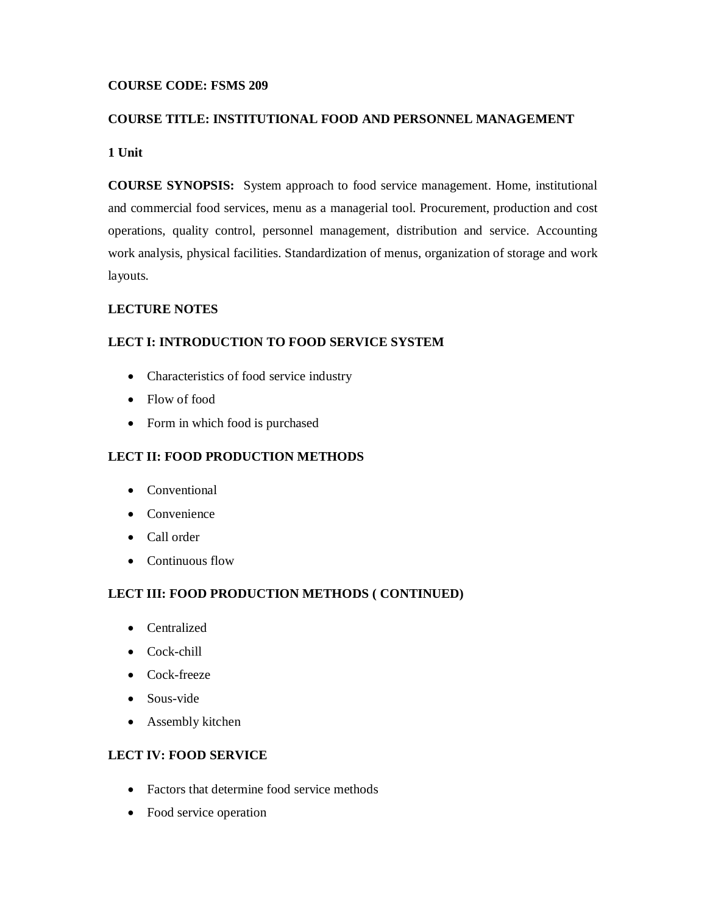### **COURSE CODE: FSMS 209**

#### **COURSE TITLE: INSTITUTIONAL FOOD AND PERSONNEL MANAGEMENT**

### **1 Unit**

**COURSE SYNOPSIS:** System approach to food service management. Home, institutional and commercial food services, menu as a managerial tool. Procurement, production and cost operations, quality control, personnel management, distribution and service. Accounting work analysis, physical facilities. Standardization of menus, organization of storage and work layouts.

### **LECTURE NOTES**

#### **LECT I: INTRODUCTION TO FOOD SERVICE SYSTEM**

- Characteristics of food service industry
- Flow of food
- Form in which food is purchased

#### **LECT II: FOOD PRODUCTION METHODS**

- Conventional
- Convenience
- Call order
- Continuous flow

### **LECT III: FOOD PRODUCTION METHODS ( CONTINUED)**

- Centralized
- Cock-chill
- Cock-freeze
- Sous-vide
- Assembly kitchen

### **LECT IV: FOOD SERVICE**

- Factors that determine food service methods
- Food service operation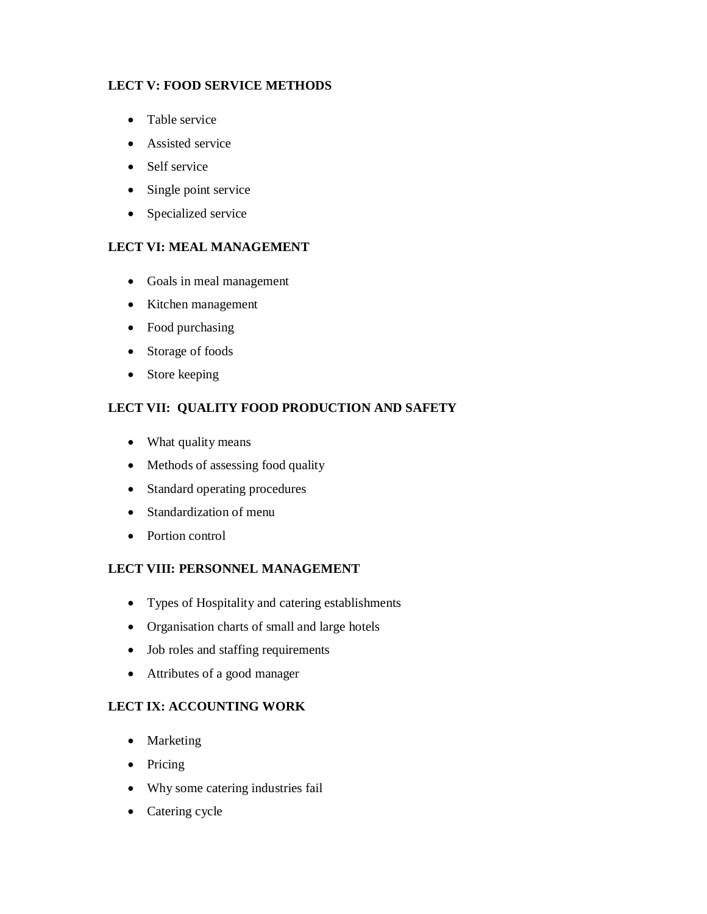### **LECT V: FOOD SERVICE METHODS**

- Table service
- Assisted service
- Self service
- Single point service
- Specialized service

### **LECT VI: MEAL MANAGEMENT**

- Goals in meal management
- Kitchen management
- Food purchasing
- Storage of foods
- Store keeping

### **LECT VII: QUALITY FOOD PRODUCTION AND SAFETY**

- What quality means
- Methods of assessing food quality
- Standard operating procedures
- Standardization of menu
- Portion control

### **LECT VIII: PERSONNEL MANAGEMENT**

- Types of Hospitality and catering establishments
- Organisation charts of small and large hotels
- Job roles and staffing requirements
- Attributes of a good manager

### **LECT IX: ACCOUNTING WORK**

- Marketing
- Pricing
- Why some catering industries fail
- Catering cycle